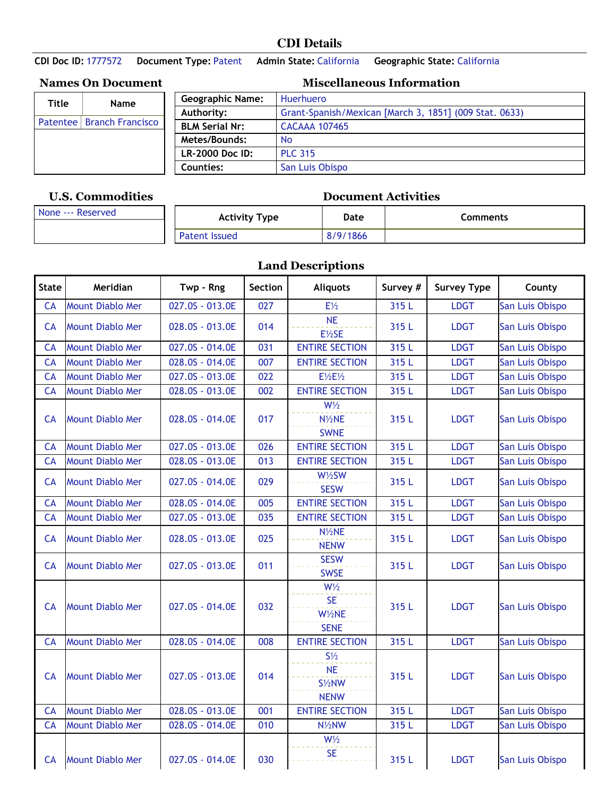## **CDI Details**

**CDI Doc ID:** 1777572 **Document Type:** Patent **Admin State:** California **Geographic State:** California

| Title | Name                        |
|-------|-----------------------------|
|       | Patentee   Branch Francisco |
|       |                             |
|       |                             |
|       |                             |

**Names On Document Miscellaneous Information**

| <b>Geographic Name:</b> | Huerhuero                                              |
|-------------------------|--------------------------------------------------------|
| Authority:              | Grant-Spanish/Mexican [March 3, 1851] (009 Stat. 0633) |
| <b>BLM Serial Nr:</b>   | <b>CACAAA 107465</b>                                   |
| Metes/Bounds:           | <b>No</b>                                              |
| LR-2000 Doc ID:         | <b>PLC 315</b>                                         |
| Counties:               | San Luis Obispo                                        |

## **U.S. Commodities Document Activities**

| None --- Reserved | <b>Activity Type</b> | Date     | Comments |  |
|-------------------|----------------------|----------|----------|--|
|                   | Patent Issued        | 8/9/1866 |          |  |

## **Land Descriptions**

| <b>State</b> | Meridian                | Twp - Rng       | Section | <b>Aliquots</b>                                                   | Survey # | <b>Survey Type</b> | County          |
|--------------|-------------------------|-----------------|---------|-------------------------------------------------------------------|----------|--------------------|-----------------|
| <b>CA</b>    | <b>Mount Diablo Mer</b> | 027.0S - 013.0E | 027     | $E\frac{1}{2}$                                                    | 315L     | <b>LDGT</b>        | San Luis Obispo |
| <b>CA</b>    | <b>Mount Diablo Mer</b> | 028.0S - 013.0E | 014     | <b>NE</b><br>E½SE                                                 | 315L     | <b>LDGT</b>        | San Luis Obispo |
| CA           | <b>Mount Diablo Mer</b> | 027.0S - 014.0E | 031     | <b>ENTIRE SECTION</b>                                             | 315L     | <b>LDGT</b>        | San Luis Obispo |
| CA           | <b>Mount Diablo Mer</b> | 028.0S - 014.0E | 007     | <b>ENTIRE SECTION</b>                                             | 315L     | <b>LDGT</b>        | San Luis Obispo |
| CA           | <b>Mount Diablo Mer</b> | 027.0S - 013.0E | 022     | $E\frac{1}{2}E\frac{1}{2}$                                        | 315L     | <b>LDGT</b>        | San Luis Obispo |
| CA           | <b>Mount Diablo Mer</b> | 028.0S - 013.0E | 002     | <b>ENTIRE SECTION</b>                                             | 315L     | <b>LDGT</b>        | San Luis Obispo |
| <b>CA</b>    | <b>Mount Diablo Mer</b> | 028.0S - 014.0E | 017     | $W\frac{1}{2}$<br>$N\frac{1}{2}NE$<br><b>SWNE</b>                 | 315L     | <b>LDGT</b>        | San Luis Obispo |
| <b>CA</b>    | <b>Mount Diablo Mer</b> | 027.0S - 013.0E | 026     | <b>ENTIRE SECTION</b>                                             | 315L     | <b>LDGT</b>        | San Luis Obispo |
| CA           | <b>Mount Diablo Mer</b> | 028.0S - 013.0E | 013     | <b>ENTIRE SECTION</b>                                             | 315L     | <b>LDGT</b>        | San Luis Obispo |
| <b>CA</b>    | <b>Mount Diablo Mer</b> | 027.0S - 014.0E | 029     | $W\frac{1}{2}SW$<br><b>SESW</b>                                   | 315L     | <b>LDGT</b>        | San Luis Obispo |
| CA           | <b>Mount Diablo Mer</b> | 028.0S - 014.0E | 005     | <b>ENTIRE SECTION</b>                                             | 315L     | <b>LDGT</b>        | San Luis Obispo |
| CA           | <b>Mount Diablo Mer</b> | 027.0S - 013.0E | 035     | <b>ENTIRE SECTION</b>                                             | 315L     | <b>LDGT</b>        | San Luis Obispo |
| CA           | <b>Mount Diablo Mer</b> | 028.0S - 013.0E | 025     | N <sup>1</sup> / <sub>2</sub> NE<br><b>NENW</b>                   | 315L     | <b>LDGT</b>        | San Luis Obispo |
| CA           | <b>Mount Diablo Mer</b> | 027.0S - 013.0E | 011     | <b>SESW</b><br><b>SWSE</b>                                        | 315L     | <b>LDGT</b>        | San Luis Obispo |
| CA           | <b>Mount Diablo Mer</b> | 027.0S - 014.0E | 032     | $W\frac{1}{2}$<br><b>SE</b><br>W1/2NE<br><b>SENE</b>              | 315L     | <b>LDGT</b>        | San Luis Obispo |
| CA           | <b>Mount Diablo Mer</b> | 028.0S - 014.0E | 008     | <b>ENTIRE SECTION</b>                                             | 315L     | <b>LDGT</b>        | San Luis Obispo |
| CA           | <b>Mount Diablo Mer</b> | 027.0S - 013.0E | 014     | $S\frac{1}{2}$<br><b>NE</b><br>S <sup>1/2</sup> NW<br><b>NENW</b> | 315L     | <b>LDGT</b>        | San Luis Obispo |
| CA           | <b>Mount Diablo Mer</b> | 028.0S - 013.0E | 001     | <b>ENTIRE SECTION</b>                                             | 315L     | <b>LDGT</b>        | San Luis Obispo |
| CA           | <b>Mount Diablo Mer</b> | 028.0S - 014.0E | 010     | N <sub>1/2</sub> NW                                               | 315L     | <b>LDGT</b>        | San Luis Obispo |
| <b>CA</b>    | <b>Mount Diablo Mer</b> | 027.0S - 014.0E | 030     | $W\frac{1}{2}$<br><b>SE</b>                                       | 315L     | <b>LDGT</b>        | San Luis Obispo |